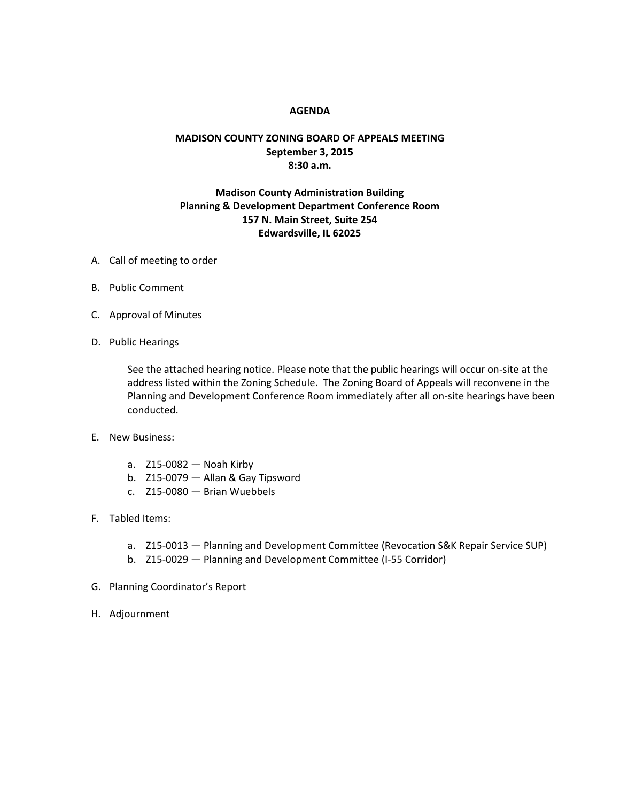## **AGENDA**

## **MADISON COUNTY ZONING BOARD OF APPEALS MEETING September 3, 2015 8:30 a.m.**

## **Madison County Administration Building Planning & Development Department Conference Room 157 N. Main Street, Suite 254 Edwardsville, IL 62025**

- A. Call of meeting to order
- B. Public Comment
- C. Approval of Minutes
- D. Public Hearings

See the attached hearing notice. Please note that the public hearings will occur on-site at the address listed within the Zoning Schedule. The Zoning Board of Appeals will reconvene in the Planning and Development Conference Room immediately after all on-site hearings have been conducted.

- E. New Business:
	- a. Z15-0082 Noah Kirby
	- b. Z15-0079 Allan & Gay Tipsword
	- c. Z15-0080 Brian Wuebbels
- F. Tabled Items:
	- a. Z15-0013 Planning and Development Committee (Revocation S&K Repair Service SUP)
	- b. Z15-0029 Planning and Development Committee (I-55 Corridor)
- G. Planning Coordinator's Report
- H. Adjournment